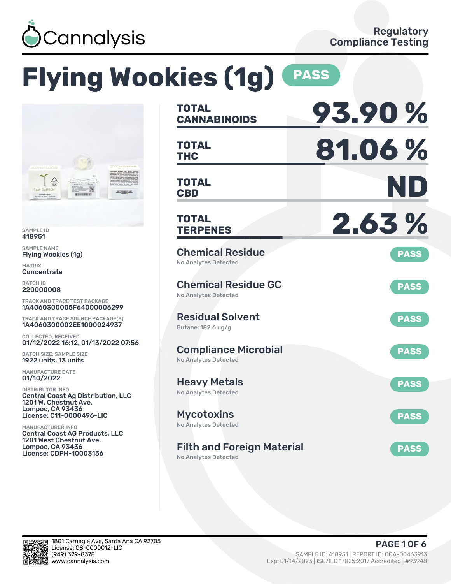

# **Flying Wookies (1g) PASS**



SAMPLE ID 418951

SAMPLE NAME Flying Wookies (1g)

MATRIX Concentrate

BATCH ID 220000008

TRACK AND TRACE TEST PACKAGE 1A4060300005F64000006299

TRACK AND TRACE SOURCE PACKAGE(S) 1A4060300002EE1000024937

COLLECTED, RECEIVED 01/12/2022 16:12, 01/13/2022 07:56

BATCH SIZE, SAMPLE SIZE 1922 units, 13 units

MANUFACTURE DATE 01/10/2022

DISTRIBUTOR INFO Central Coast Ag Distribution, LLC 1201 W. Chestnut Ave. Lompoc, CA 93436 License: C11-0000496-LIC

MANUFACTURER INFO Central Coast AG Products, LLC 1201 West Chestnut Ave. Lompoc, CA 93436 License: CDPH-10003156

| <b>TOTAL</b><br><b>CANNABINOIDS</b>                        | 93.90%      |
|------------------------------------------------------------|-------------|
| <b>TOTAL</b><br><b>THC</b>                                 | 81.06%      |
| <b>TOTAL</b><br><b>CBD</b>                                 | ND          |
| <b>TOTAL</b><br><b>TERPENES</b>                            | 2.63%       |
| <b>Chemical Residue</b><br><b>No Analytes Detected</b>     | <b>PASS</b> |
| <b>Chemical Residue GC</b><br><b>No Analytes Detected</b>  | <b>PASS</b> |
| <b>Residual Solvent</b><br>Butane: 182.6 ug/g              | <b>PASS</b> |
| <b>Compliance Microbial</b><br><b>No Analytes Detected</b> | <b>PASS</b> |
| <b>Heavy Metals</b><br><b>No Analytes Detected</b>         | <b>PASS</b> |
| <b>Mycotoxins</b><br>No Analytes Detected                  | <b>PASS</b> |
| <b>Filth and Foreign Material</b>                          | <b>PASS</b> |

No Analytes Detected

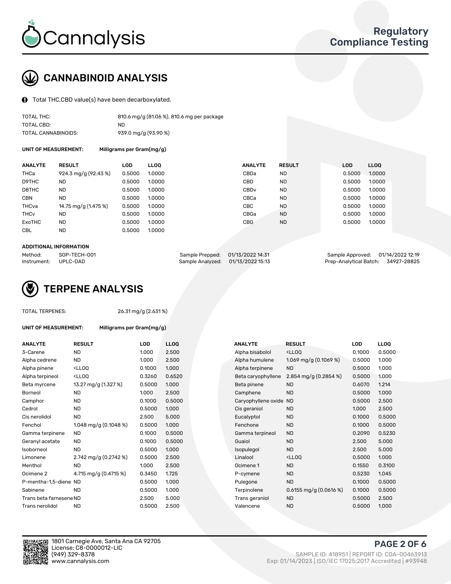

## CANNABINOID ANALYSIS

Total THC,CBD value(s) have been decarboxylated.

| TOTAL THC:          | 810.6 mg/g (81.06 %), 810.6 mg per package |
|---------------------|--------------------------------------------|
| TOTAL CBD:          | ND.                                        |
| TOTAL CANNABINOIDS: | 939.0 mg/g (93.90 %)                       |

UNIT OF MEASUREMENT: Milligrams per Gram(mg/g)

| <b>ANALYTE</b>         | <b>RESULT</b>        | <b>LOD</b> | <b>LLOO</b> | <b>ANALYTE</b>   | <b>RESULT</b> | <b>LOD</b> | <b>LLOO</b> |
|------------------------|----------------------|------------|-------------|------------------|---------------|------------|-------------|
| THCa                   | 924.3 mg/g (92.43 %) | 0.5000     | 1.0000      | CBDa             | <b>ND</b>     | 0.5000     | 1.0000      |
| D9THC                  | <b>ND</b>            | 0.5000     | 1.0000      | CBD              | <b>ND</b>     | 0.5000     | 1.0000      |
| D8THC                  | <b>ND</b>            | 0.5000     | 1.0000      | CBD <sub>v</sub> | <b>ND</b>     | 0.5000     | 1.0000      |
| <b>CBN</b>             | <b>ND</b>            | 0.5000     | 1.0000      | CBCa             | <b>ND</b>     | 0.5000     | 1.0000      |
| THCva                  | 14.75 mg/g (1.475 %) | 0.5000     | 1.0000      | CBC              | <b>ND</b>     | 0.5000     | 1.0000      |
| <b>THC<sub>v</sub></b> | <b>ND</b>            | 0.5000     | 1.0000      | CBGa             | <b>ND</b>     | 0.5000     | 1.0000      |
| ExoTHC                 | <b>ND</b>            | 0.5000     | 1.0000      | <b>CBG</b>       | <b>ND</b>     | 0.5000     | 1.0000      |
| <b>CBL</b>             | <b>ND</b>            | 0.5000     | 1.0000      |                  |               |            |             |

#### ADDITIONAL INFORMATION

| Method:              | SOP-TECH-001 | Sample Prepped: 01/13/2022 14:31  | Sample Approved: 01/14/2022 12:19  |  |
|----------------------|--------------|-----------------------------------|------------------------------------|--|
| Instrument: UPLC-DAD |              | Sample Analyzed: 01/13/2022 15:13 | Prep-Analytical Batch: 34927-28825 |  |



#### TOTAL TERPENES: 26.31 mg/g (2.631 %)

| UNIT OF MEASUREMENT: | Milligrams per Gram(mg/g) |
|----------------------|---------------------------|
|----------------------|---------------------------|

| <b>ANALYTE</b>          | <b>RESULT</b>                                                                                                                             | <b>LOD</b> | <b>LLOQ</b> | <b>ANALYTE</b>      | <b>RESULT</b>                                      | <b>LOD</b> | <b>LLOQ</b> |
|-------------------------|-------------------------------------------------------------------------------------------------------------------------------------------|------------|-------------|---------------------|----------------------------------------------------|------------|-------------|
| 3-Carene                | <b>ND</b>                                                                                                                                 | 1.000      | 2.500       | Alpha bisabolol     | <ll0q< td=""><td>0.1000</td><td>0.500</td></ll0q<> | 0.1000     | 0.500       |
| Alpha cedrene           | ND.                                                                                                                                       | 1.000      | 2.500       | Alpha humulene      | 1.069 mg/g $(0.1069\%)$                            | 0.5000     | 1.000       |
| Alpha pinene            | <lloq< td=""><td>0.1000</td><td>1.000</td><td>Alpha terpinene</td><td><b>ND</b></td><td>0.5000</td><td>1.000</td></lloq<>                 | 0.1000     | 1.000       | Alpha terpinene     | <b>ND</b>                                          | 0.5000     | 1.000       |
| Alpha terpineol         | <lloq< td=""><td>0.3260</td><td>0.6520</td><td>Beta caryophyllene</td><td>2.854 mg/g (0.2854 %)</td><td>0.5000</td><td>1.000</td></lloq<> | 0.3260     | 0.6520      | Beta caryophyllene  | 2.854 mg/g (0.2854 %)                              | 0.5000     | 1.000       |
| Beta myrcene            | 13.27 mg/g (1.327 %)                                                                                                                      | 0.5000     | 1.000       | Beta pinene         | <b>ND</b>                                          | 0.6070     | 1.214       |
| Borneol                 | <b>ND</b>                                                                                                                                 | 1.000      | 2.500       | Camphene            | <b>ND</b>                                          | 0.5000     | 1.000       |
| Camphor                 | <b>ND</b>                                                                                                                                 | 0.1000     | 0.5000      | Caryophyllene oxide | <b>ND</b>                                          | 0.5000     | 2.500       |
| Cedrol                  | <b>ND</b>                                                                                                                                 | 0.5000     | 1.000       | Cis geraniol        | <b>ND</b>                                          | 1.000      | 2.500       |
| Cis nerolidol           | ND.                                                                                                                                       | 2.500      | 5.000       | Eucalyptol          | <b>ND</b>                                          | 0.1000     | 0.500       |
| Fenchol                 | 1.048 mg/g $(0.1048\%)$                                                                                                                   | 0.5000     | 1.000       | Fenchone            | <b>ND</b>                                          | 0.1000     | 0.500       |
| Gamma terpinene         | <b>ND</b>                                                                                                                                 | 0.1000     | 0.5000      | Gamma terpineol     | <b>ND</b>                                          | 0.2090     | 0.523       |
| Geranyl acetate         | <b>ND</b>                                                                                                                                 | 0.1000     | 0.5000      | Guaiol              | <b>ND</b>                                          | 2.500      | 5.000       |
| Isoborneol              | <b>ND</b>                                                                                                                                 | 0.5000     | 1.000       | Isopulegol          | <b>ND</b>                                          | 2.500      | 5.000       |
| Limonene                | 2.742 mg/g (0.2742 %)                                                                                                                     | 0.5000     | 2.500       | Linalool            | <lloq< td=""><td>0.5000</td><td>1.000</td></lloq<> | 0.5000     | 1.000       |
| Menthol                 | <b>ND</b>                                                                                                                                 | 1.000      | 2.500       | Ocimene 1           | <b>ND</b>                                          | 0.1550     | 0.310       |
| Ocimene 2               | 4.715 mg/g (0.4715 %)                                                                                                                     | 0.3450     | 1.725       | P-cymene            | <b>ND</b>                                          | 0.5230     | 1.045       |
| P-mentha-1,5-diene ND   |                                                                                                                                           | 0.5000     | 1.000       | Pulegone            | <b>ND</b>                                          | 0.1000     | 0.500       |
| Sabinene                | <b>ND</b>                                                                                                                                 | 0.5000     | 1.000       | Terpinolene         | $0.6155$ mg/g $(0.0616%)$                          | 0.1000     | 0.500       |
| Trans beta farnesene ND |                                                                                                                                           | 2.500      | 5.000       | Trans geraniol      | <b>ND</b>                                          | 0.5000     | 2.500       |
| Trans nerolidol         | <b>ND</b>                                                                                                                                 | 0.5000     | 2.500       | Valencene           | <b>ND</b>                                          | 0.5000     | 1.000       |

| ANALYIE                 | RESULI                                                                                                                                                 | LUD    | LLUU   | ANALYIE             | RESULT                                              | LUU    | LLUU   |
|-------------------------|--------------------------------------------------------------------------------------------------------------------------------------------------------|--------|--------|---------------------|-----------------------------------------------------|--------|--------|
| 3-Carene                | <b>ND</b>                                                                                                                                              | 1.000  | 2.500  | Alpha bisabolol     | <ll0q< td=""><td>0.1000</td><td>0.5000</td></ll0q<> | 0.1000 | 0.5000 |
| Alpha cedrene           | ND                                                                                                                                                     | 1.000  | 2.500  | Alpha humulene      | 1.069 mg/g $(0.1069\%)$                             | 0.5000 | 1.000  |
| Alpha pinene            | <lloq< td=""><td>0.1000</td><td>1.000</td><td>Alpha terpinene</td><td><b>ND</b></td><td>0.5000</td><td>1.000</td></lloq<>                              | 0.1000 | 1.000  | Alpha terpinene     | <b>ND</b>                                           | 0.5000 | 1.000  |
| Alpha terpineol         | <ll0q< td=""><td>0.3260</td><td>0.6520</td><td>Beta caryophyllene</td><td>2.854 mg/g <math>(0.2854\%)</math></td><td>0.5000</td><td>1.000</td></ll0q<> | 0.3260 | 0.6520 | Beta caryophyllene  | 2.854 mg/g $(0.2854\%)$                             | 0.5000 | 1.000  |
| Beta myrcene            | 13.27 mg/g (1.327 %)                                                                                                                                   | 0.5000 | 1.000  | Beta pinene         | <b>ND</b>                                           | 0.6070 | 1.214  |
| Borneol                 | <b>ND</b>                                                                                                                                              | 1.000  | 2.500  | Camphene            | <b>ND</b>                                           | 0.5000 | 1.000  |
| Camphor                 | <b>ND</b>                                                                                                                                              | 0.1000 | 0.5000 | Caryophyllene oxide | <b>ND</b>                                           | 0.5000 | 2.500  |
| Cedrol                  | ND                                                                                                                                                     | 0.5000 | 1.000  | Cis geraniol        | <b>ND</b>                                           | 1.000  | 2.500  |
| Cis nerolidol           | <b>ND</b>                                                                                                                                              | 2.500  | 5.000  | Eucalyptol          | <b>ND</b>                                           | 0.1000 | 0.5000 |
| Fenchol                 | 1.048 mg/g $(0.1048\%)$                                                                                                                                | 0.5000 | 1.000  | Fenchone            | <b>ND</b>                                           | 0.1000 | 0.5000 |
| Gamma terpinene         | ND.                                                                                                                                                    | 0.1000 | 0.5000 | Gamma terpineol     | <b>ND</b>                                           | 0.2090 | 0.5230 |
| Geranyl acetate         | ND.                                                                                                                                                    | 0.1000 | 0.5000 | Guaiol              | <b>ND</b>                                           | 2.500  | 5.000  |
| Isoborneol              | ND                                                                                                                                                     | 0.5000 | 1.000  | Isopulegol          | <b>ND</b>                                           | 2.500  | 5.000  |
| Limonene                | 2.742 mg/g $(0.2742 \%)$                                                                                                                               | 0.5000 | 2.500  | Linalool            | <ll0q< td=""><td>0.5000</td><td>1.000</td></ll0q<>  | 0.5000 | 1.000  |
| Menthol                 | ND.                                                                                                                                                    | 1.000  | 2.500  | Ocimene 1           | <b>ND</b>                                           | 0.1550 | 0.3100 |
| Ocimene 2               | 4.715 mg/g (0.4715 %)                                                                                                                                  | 0.3450 | 1.725  | P-cymene            | <b>ND</b>                                           | 0.5230 | 1.045  |
| P-mentha-1,5-diene ND   |                                                                                                                                                        | 0.5000 | 1.000  | Pulegone            | <b>ND</b>                                           | 0.1000 | 0.5000 |
| Sabinene                | <b>ND</b>                                                                                                                                              | 0.5000 | 1.000  | Terpinolene         | $0.6155$ mg/g $(0.0616%)$                           | 0.1000 | 0.5000 |
| Trans beta farnesene ND |                                                                                                                                                        | 2.500  | 5.000  | Trans geraniol      | <b>ND</b>                                           | 0.5000 | 2.500  |
| Trans nerolidol         | ND                                                                                                                                                     | 0.5000 | 2.500  | Valencene           | <b>ND</b>                                           | 0.5000 | 1.000  |



PAGE 2 OF 6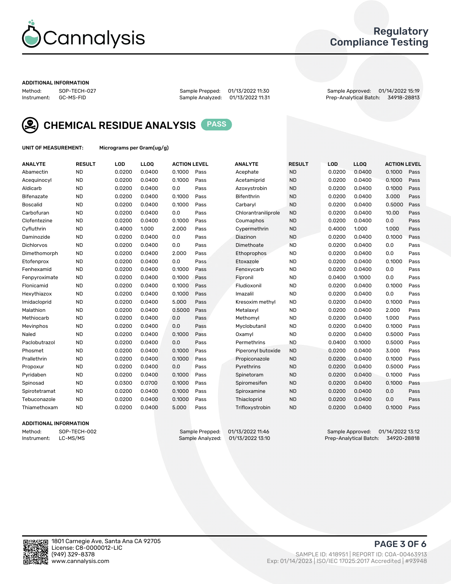

### Regulatory Compliance Testing

#### ADDITIONAL INFORMATION

Method: SOP-TECH-027 Sample Prepped: 01/13/2022 11:30 Sample Approved: 01/14/2022 15:19 Prep-Analytical Batch: 34918-28813



CHEMICAL RESIDUE ANALYSIS PASS

UNIT OF MEASUREMENT: Micrograms per Gram(ug/g)

| <b>ANALYTE</b>    | <b>RESULT</b> | LOD    | LL <sub>OO</sub> | <b>ACTION LEVEL</b> |      | <b>ANALYTE</b>      | <b>RESULT</b> | LOD    | <b>LLOQ</b> | <b>ACTION LEVEL</b> |      |
|-------------------|---------------|--------|------------------|---------------------|------|---------------------|---------------|--------|-------------|---------------------|------|
| Abamectin         | <b>ND</b>     | 0.0200 | 0.0400           | 0.1000              | Pass | Acephate            | <b>ND</b>     | 0.0200 | 0.0400      | 0.1000              | Pass |
| Acequinocyl       | <b>ND</b>     | 0.0200 | 0.0400           | 0.1000              | Pass | Acetamiprid         | <b>ND</b>     | 0.0200 | 0.0400      | 0.1000              | Pass |
| Aldicarb          | <b>ND</b>     | 0.0200 | 0.0400           | 0.0                 | Pass | Azoxystrobin        | <b>ND</b>     | 0.0200 | 0.0400      | 0.1000              | Pass |
| Bifenazate        | <b>ND</b>     | 0.0200 | 0.0400           | 0.1000              | Pass | <b>Bifenthrin</b>   | <b>ND</b>     | 0.0200 | 0.0400      | 3.000               | Pass |
| <b>Boscalid</b>   | <b>ND</b>     | 0.0200 | 0.0400           | 0.1000              | Pass | Carbaryl            | <b>ND</b>     | 0.0200 | 0.0400      | 0.5000              | Pass |
| Carbofuran        | <b>ND</b>     | 0.0200 | 0.0400           | 0.0                 | Pass | Chlorantraniliprole | <b>ND</b>     | 0.0200 | 0.0400      | 10.00               | Pass |
| Clofentezine      | <b>ND</b>     | 0.0200 | 0.0400           | 0.1000              | Pass | Coumaphos           | <b>ND</b>     | 0.0200 | 0.0400      | 0.0                 | Pass |
| Cyfluthrin        | <b>ND</b>     | 0.4000 | 1.000            | 2.000               | Pass | Cypermethrin        | <b>ND</b>     | 0.4000 | 1.000       | 1.000               | Pass |
| Daminozide        | <b>ND</b>     | 0.0200 | 0.0400           | 0.0                 | Pass | Diazinon            | <b>ND</b>     | 0.0200 | 0.0400      | 0.1000              | Pass |
| <b>Dichlorvos</b> | <b>ND</b>     | 0.0200 | 0.0400           | 0.0                 | Pass | Dimethoate          | <b>ND</b>     | 0.0200 | 0.0400      | 0.0                 | Pass |
| Dimethomorph      | <b>ND</b>     | 0.0200 | 0.0400           | 2.000               | Pass | <b>Ethoprophos</b>  | <b>ND</b>     | 0.0200 | 0.0400      | 0.0                 | Pass |
| Etofenprox        | <b>ND</b>     | 0.0200 | 0.0400           | 0.0                 | Pass | Etoxazole           | <b>ND</b>     | 0.0200 | 0.0400      | 0.1000              | Pass |
| Fenhexamid        | <b>ND</b>     | 0.0200 | 0.0400           | 0.1000              | Pass | Fenoxycarb          | <b>ND</b>     | 0.0200 | 0.0400      | 0.0                 | Pass |
| Fenpyroximate     | <b>ND</b>     | 0.0200 | 0.0400           | 0.1000              | Pass | Fipronil            | <b>ND</b>     | 0.0400 | 0.1000      | 0.0                 | Pass |
| Flonicamid        | <b>ND</b>     | 0.0200 | 0.0400           | 0.1000              | Pass | Fludioxonil         | <b>ND</b>     | 0.0200 | 0.0400      | 0.1000              | Pass |
| Hexythiazox       | <b>ND</b>     | 0.0200 | 0.0400           | 0.1000              | Pass | Imazalil            | <b>ND</b>     | 0.0200 | 0.0400      | 0.0                 | Pass |
| Imidacloprid      | <b>ND</b>     | 0.0200 | 0.0400           | 5.000               | Pass | Kresoxim methyl     | <b>ND</b>     | 0.0200 | 0.0400      | 0.1000              | Pass |
| Malathion         | <b>ND</b>     | 0.0200 | 0.0400           | 0.5000              | Pass | Metalaxyl           | <b>ND</b>     | 0.0200 | 0.0400      | 2.000               | Pass |
| Methiocarb        | <b>ND</b>     | 0.0200 | 0.0400           | 0.0                 | Pass | Methomyl            | <b>ND</b>     | 0.0200 | 0.0400      | 1.000               | Pass |
| Mevinphos         | <b>ND</b>     | 0.0200 | 0.0400           | 0.0                 | Pass | Myclobutanil        | <b>ND</b>     | 0.0200 | 0.0400      | 0.1000              | Pass |
| Naled             | <b>ND</b>     | 0.0200 | 0.0400           | 0.1000              | Pass | Oxamyl              | <b>ND</b>     | 0.0200 | 0.0400      | 0.5000              | Pass |
| Paclobutrazol     | <b>ND</b>     | 0.0200 | 0.0400           | 0.0                 | Pass | Permethrins         | <b>ND</b>     | 0.0400 | 0.1000      | 0.5000              | Pass |
| Phosmet           | <b>ND</b>     | 0.0200 | 0.0400           | 0.1000              | Pass | Piperonyl butoxide  | <b>ND</b>     | 0.0200 | 0.0400      | 3.000               | Pass |
| Prallethrin       | <b>ND</b>     | 0.0200 | 0.0400           | 0.1000              | Pass | Propiconazole       | <b>ND</b>     | 0.0200 | 0.0400      | 0.1000              | Pass |
| Propoxur          | <b>ND</b>     | 0.0200 | 0.0400           | 0.0                 | Pass | Pyrethrins          | <b>ND</b>     | 0.0200 | 0.0400      | 0.5000              | Pass |
| Pyridaben         | <b>ND</b>     | 0.0200 | 0.0400           | 0.1000              | Pass | Spinetoram          | <b>ND</b>     | 0.0200 | 0.0400      | 0.1000              | Pass |
| Spinosad          | <b>ND</b>     | 0.0300 | 0.0700           | 0.1000              | Pass | Spiromesifen        | <b>ND</b>     | 0.0200 | 0.0400      | 0.1000              | Pass |
| Spirotetramat     | <b>ND</b>     | 0.0200 | 0.0400           | 0.1000              | Pass | Spiroxamine         | <b>ND</b>     | 0.0200 | 0.0400      | 0.0                 | Pass |
| Tebuconazole      | <b>ND</b>     | 0.0200 | 0.0400           | 0.1000              | Pass | Thiacloprid         | <b>ND</b>     | 0.0200 | 0.0400      | 0.0                 | Pass |
| Thiamethoxam      | <b>ND</b>     | 0.0200 | 0.0400           | 5.000               | Pass | Trifloxystrobin     | <b>ND</b>     | 0.0200 | 0.0400      | 0.1000              | Pass |

### ADDITIONAL INFORMATION

Method: SOP-TECH-002 Sample Prepped: 01/13/2022 11:46 Sample Approved: 01/14/2022 13:12 Prep-Analytical Batch: 34920-28818

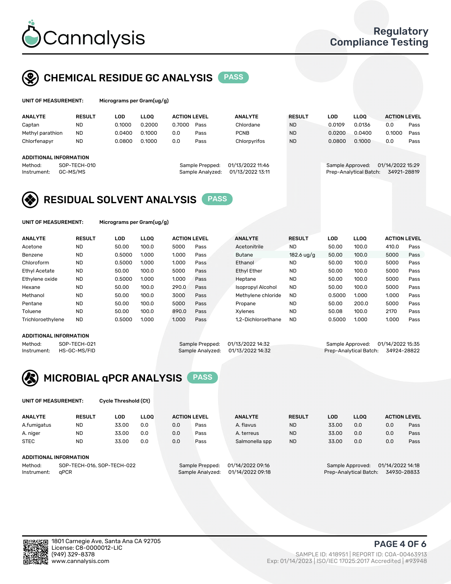

### CHEMICAL RESIDUE GC ANALYSIS PASS

| UNIT OF MEASUREMENT: | Micrograms per G |
|----------------------|------------------|
|                      |                  |

ram(ug/g)

| <b>ANALYTE</b>         | <b>RESULT</b> | LOD    | <b>LLOO</b> | <b>ACTION LEVEL</b> |                  | <b>ANALYTE</b>   | <b>RESULT</b> | LOD              | <b>LLOO</b>            | <b>ACTION LEVEL</b> |      |
|------------------------|---------------|--------|-------------|---------------------|------------------|------------------|---------------|------------------|------------------------|---------------------|------|
| Captan                 | <b>ND</b>     | 0.1000 | 0.2000      | 0.7000              | Pass             | Chlordane        | <b>ND</b>     | 0.0109           | 0.0136                 | 0.0                 | Pass |
| Methyl parathion       | <b>ND</b>     | 0.0400 | 0.1000      | 0.0                 | Pass             | <b>PCNB</b>      | <b>ND</b>     | 0.0200           | 0.0400                 | 0.1000              | Pass |
| Chlorfenapyr           | <b>ND</b>     | 0.0800 | 0.1000      | 0.0                 | Pass             | Chlorpyrifos     | <b>ND</b>     | 0.0800           | 0.1000                 | 0.0                 | Pass |
|                        |               |        |             |                     |                  |                  |               |                  |                        |                     |      |
| ADDITIONAL INFORMATION |               |        |             |                     |                  |                  |               |                  |                        |                     |      |
| Method:                | SOP-TECH-010  |        |             |                     | Sample Prepped:  | 01/13/2022 11:46 |               | Sample Approved: |                        | 01/14/2022 15:29    |      |
| Instrument:            | GC-MS/MS      |        |             |                     | Sample Analyzed: | 01/13/2022 13:11 |               |                  | Prep-Analytical Batch: | 34921-28819         |      |
|                        |               |        |             |                     |                  |                  |               |                  |                        |                     |      |

### RESIDUAL SOLVENT ANALYSIS PASS

UNIT OF MEASUREMENT: Micrograms per Gram(ug/g)

| <b>ANALYTE</b>       | <b>RESULT</b> | LOD    | <b>LLOO</b> | <b>ACTION LEVEL</b> |      | <b>ANALYTE</b>           | <b>RESULT</b>        | LOD    | LLOO  | <b>ACTION LEVEL</b> |      |
|----------------------|---------------|--------|-------------|---------------------|------|--------------------------|----------------------|--------|-------|---------------------|------|
| Acetone              | <b>ND</b>     | 50.00  | 100.0       | 5000                | Pass | Acetonitrile             | <b>ND</b>            | 50.00  | 100.0 | 410.0               | Pass |
| Benzene              | <b>ND</b>     | 0.5000 | 1.000       | 1.000               | Pass | <b>Butane</b>            | $182.6 \text{ uq/q}$ | 50.00  | 100.0 | 5000                | Pass |
| Chloroform           | <b>ND</b>     | 0.5000 | 1.000       | 1.000               | Pass | Ethanol                  | <b>ND</b>            | 50.00  | 100.0 | 5000                | Pass |
| <b>Ethyl Acetate</b> | <b>ND</b>     | 50.00  | 100.0       | 5000                | Pass | <b>Ethyl Ether</b>       | <b>ND</b>            | 50.00  | 100.0 | 5000                | Pass |
| Ethylene oxide       | <b>ND</b>     | 0.5000 | 1.000       | 1.000               | Pass | Heptane                  | <b>ND</b>            | 50.00  | 100.0 | 5000                | Pass |
| Hexane               | <b>ND</b>     | 50.00  | 100.0       | 290.0               | Pass | <b>Isopropyl Alcohol</b> | <b>ND</b>            | 50.00  | 100.0 | 5000                | Pass |
| Methanol             | <b>ND</b>     | 50.00  | 100.0       | 3000                | Pass | Methylene chloride       | <b>ND</b>            | 0.5000 | 1.000 | 1.000               | Pass |
| Pentane              | <b>ND</b>     | 50.00  | 100.0       | 5000                | Pass | Propane                  | <b>ND</b>            | 50.00  | 200.0 | 5000                | Pass |
| Toluene              | <b>ND</b>     | 50.00  | 100.0       | 890.0               | Pass | Xvlenes                  | <b>ND</b>            | 50.08  | 100.0 | 2170                | Pass |
| Trichloroethylene    | <b>ND</b>     | 0.5000 | 1.000       | 1.000               | Pass | 1.2-Dichloroethane       | <b>ND</b>            | 0.5000 | 1.000 | 1.000               | Pass |

### ADDITIONAL INFORMATION

Method: SOP-TECH-021 Sample Prepped: 01/13/2022 14:32 Sample Approved: 01/14/2022 15:35<br>Sample Analyzed: 01/13/2022 14:32 Prep-Analytical Batch: 34924-28822 Prep-Analytical Batch: 34924-28822



UNIT OF MEASUREMENT: Cycle Threshold (Ct)

| <b>ANALYTE</b>                        | <b>RESULT</b>          | LOD   | <b>LLOO</b>      |                  | <b>ACTION LEVEL</b> | <b>ANALYTE</b> | <b>RESULT</b>          | LOD              | <b>LLOO</b>      |     | <b>ACTION LEVEL</b> |
|---------------------------------------|------------------------|-------|------------------|------------------|---------------------|----------------|------------------------|------------------|------------------|-----|---------------------|
| A.fumigatus                           | <b>ND</b>              | 33.00 | 0.0              | 0.0              | Pass                | A. flavus      | <b>ND</b>              | 33.00            | 0.0              | 0.0 | Pass                |
| A. niger                              | <b>ND</b>              | 33.00 | 0.0              | 0.0              | Pass                | A. terreus     | <b>ND</b>              | 33.00            | 0.0              | 0.0 | Pass                |
| <b>STEC</b>                           | <b>ND</b>              | 33.00 | 0.0              | 0.0              | Pass                | Salmonella spp | <b>ND</b>              | 33.00            | 0.0              | 0.0 | Pass                |
|                                       | ADDITIONAL INFORMATION |       |                  |                  |                     |                |                        |                  |                  |     |                     |
| SOP-TECH-016, SOP-TECH-022<br>Method: |                        |       |                  | Sample Prepped:  | 01/14/2022 09:16    |                |                        | Sample Approved: | 01/14/2022 14:18 |     |                     |
| aPCR<br>Instrument:                   |                        |       | Sample Analyzed: | 01/14/2022 09:18 |                     |                | Prep-Analytical Batch: |                  | 34930-28833      |     |                     |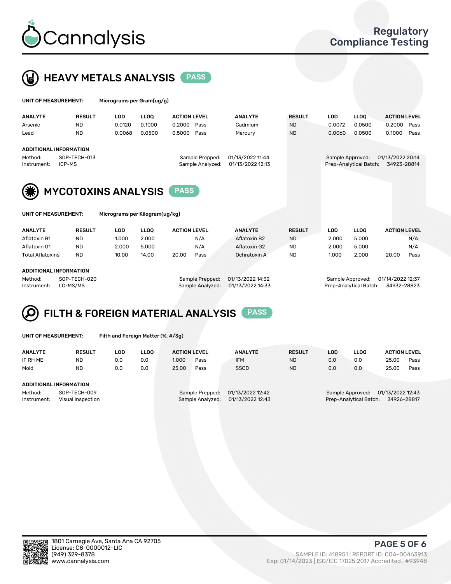



| UNIT OF MEASUREMENT:   |                                                         | Micrograms per Gram(ug/g) |             |                                     |                                      |               |            |                                            |                                 |
|------------------------|---------------------------------------------------------|---------------------------|-------------|-------------------------------------|--------------------------------------|---------------|------------|--------------------------------------------|---------------------------------|
| <b>ANALYTE</b>         | <b>RESULT</b>                                           | <b>LOD</b>                | <b>LLOO</b> | <b>ACTION LEVEL</b>                 | <b>ANALYTE</b>                       | <b>RESULT</b> | <b>LOD</b> | LLOO <sup>1</sup>                          | <b>ACTION LEVEL</b>             |
| Arsenic                | <b>ND</b>                                               | 0.0120                    | 0.1000      | 0.2000<br>Pass                      | Cadmium                              | <b>ND</b>     | 0.0072     | 0.0500                                     | 0.2000<br>Pass                  |
| Lead                   | <b>ND</b>                                               | 0.0068                    | 0.0500      | 0.5000<br>Pass                      | Mercury                              | <b>ND</b>     | 0.0060     | 0.0500                                     | 0.1000<br>Pass                  |
| Method:<br>Instrument: | <b>ADDITIONAL INFORMATION</b><br>SOP-TECH-013<br>ICP-MS |                           |             | Sample Prepped:<br>Sample Analyzed: | 01/13/2022 11:44<br>01/13/2022 12:13 |               |            | Sample Approved:<br>Prep-Analytical Batch: | 01/13/2022 20:14<br>34923-28814 |
| (纂)                    | <b>MYCOTOXINS ANALYSIS</b>                              |                           |             |                                     |                                      |               |            |                                            |                                 |
| UNIT OF MEASUREMENT:   |                                                         |                           |             |                                     |                                      |               |            |                                            |                                 |

| <b>ANALYTE</b>         | <b>RESULT</b> | LOD   | <b>LLOO</b> | <b>ACTION LEVEL</b> |      | <b>ANALYTE</b> | <b>RESULT</b> | LOD   | <b>LLOO</b> |       | <b>ACTION LEVEL</b> |
|------------------------|---------------|-------|-------------|---------------------|------|----------------|---------------|-------|-------------|-------|---------------------|
| Aflatoxin B1           | ND            | 1.000 | 2.000       |                     | N/A  | Aflatoxin B2   | <b>ND</b>     | 2.000 | 5.000       |       | N/A                 |
| Aflatoxin G1           | <b>ND</b>     | 2.000 | 5.000       |                     | N/A  | Aflatoxin G2   | <b>ND</b>     | 2.000 | 5.000       |       | N/A                 |
| Total Aflatoxins       | <b>ND</b>     | 10.00 | 14.00       | 20.00               | Pass | Ochratoxin A   | <b>ND</b>     | 1.000 | 2.000       | 20.00 | Pass                |
|                        |               |       |             |                     |      |                |               |       |             |       |                     |
| ADDITIONAL INFORMATION |               |       |             |                     |      |                |               |       |             |       |                     |

Method: SOP-TECH-020 Sample Prepped: 01/13/2022 14:32 Sample Approved: 01/14/2022 12:37 Instrument: LC-MS/MS Sample Analyzed: 01/13/2022 14:33 Prep-Analytical Batch: 34932-28823

#### FILTH & FOREIGN MATERIAL ANALYSIS PASS Q

UNIT OF MEASUREMENT: Filth and Foreign Matter (%, #/3g)

| <b>ANALYTE</b>                                              | <b>RESULT</b> | LOD | <b>LLOO</b> | <b>ACTION LEVEL</b> |                                     | <b>ANALYTE</b>                       | <b>RESULT</b> | LOD                                                                           | LLOO | <b>ACTION LEVEL</b> |      |
|-------------------------------------------------------------|---------------|-----|-------------|---------------------|-------------------------------------|--------------------------------------|---------------|-------------------------------------------------------------------------------|------|---------------------|------|
| IF RH ME                                                    | <b>ND</b>     | 0.0 | 0.0         | 1.000               | Pass                                | <b>IFM</b>                           | <b>ND</b>     | 0.0                                                                           | 0.0  | 25.00               | Pass |
| Mold                                                        | <b>ND</b>     | 0.0 | 0.0         | 25.00               | Pass                                | <b>SSCD</b>                          | <b>ND</b>     | 0.0                                                                           | 0.0  | 25.00               | Pass |
| ADDITIONAL INFORMATION                                      |               |     |             |                     |                                     |                                      |               |                                                                               |      |                     |      |
| Method:<br>SOP-TECH-009<br>Instrument:<br>Visual Inspection |               |     |             |                     | Sample Prepped:<br>Sample Analyzed: | 01/13/2022 12:42<br>01/13/2022 12:43 |               | 01/13/2022 12:43<br>Sample Approved:<br>Prep-Analytical Batch:<br>34926-28817 |      |                     |      |



PAGE 5 OF 6